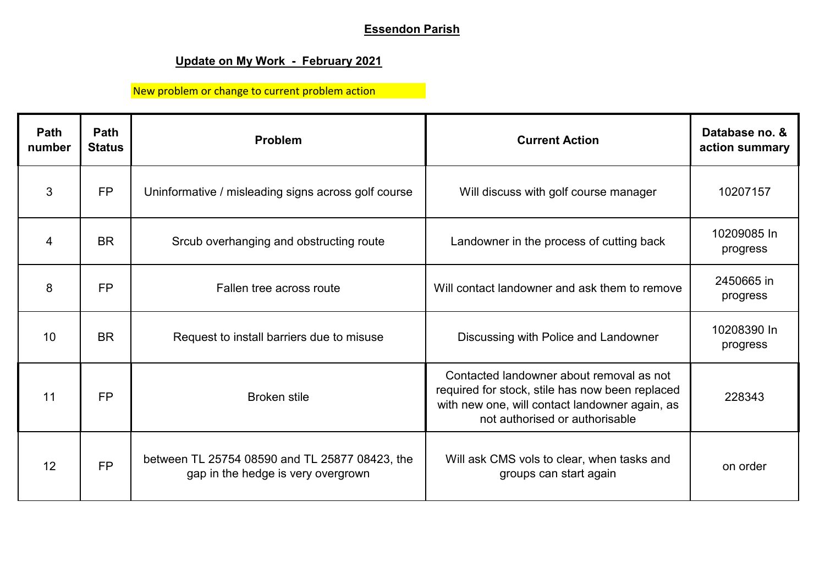## **Essendon Parish**

## **Update on My Work - February 2021**

New problem or change to current problem action

| Path<br>number | Path<br><b>Status</b> | <b>Problem</b>                                                                       | <b>Current Action</b>                                                                                                                                                           | Database no. &<br>action summary |
|----------------|-----------------------|--------------------------------------------------------------------------------------|---------------------------------------------------------------------------------------------------------------------------------------------------------------------------------|----------------------------------|
| 3              | <b>FP</b>             | Uninformative / misleading signs across golf course                                  | Will discuss with golf course manager                                                                                                                                           | 10207157                         |
| 4              | <b>BR</b>             | Srcub overhanging and obstructing route                                              | Landowner in the process of cutting back                                                                                                                                        | 10209085 In<br>progress          |
| 8              | <b>FP</b>             | Fallen tree across route                                                             | Will contact landowner and ask them to remove                                                                                                                                   | 2450665 in<br>progress           |
| 10             | <b>BR</b>             | Request to install barriers due to misuse                                            | Discussing with Police and Landowner                                                                                                                                            | 10208390 In<br>progress          |
| 11             | <b>FP</b>             | <b>Broken stile</b>                                                                  | Contacted landowner about removal as not<br>required for stock, stile has now been replaced<br>with new one, will contact landowner again, as<br>not authorised or authorisable | 228343                           |
| 12             | <b>FP</b>             | between TL 25754 08590 and TL 25877 08423, the<br>gap in the hedge is very overgrown | Will ask CMS vols to clear, when tasks and<br>groups can start again                                                                                                            | on order                         |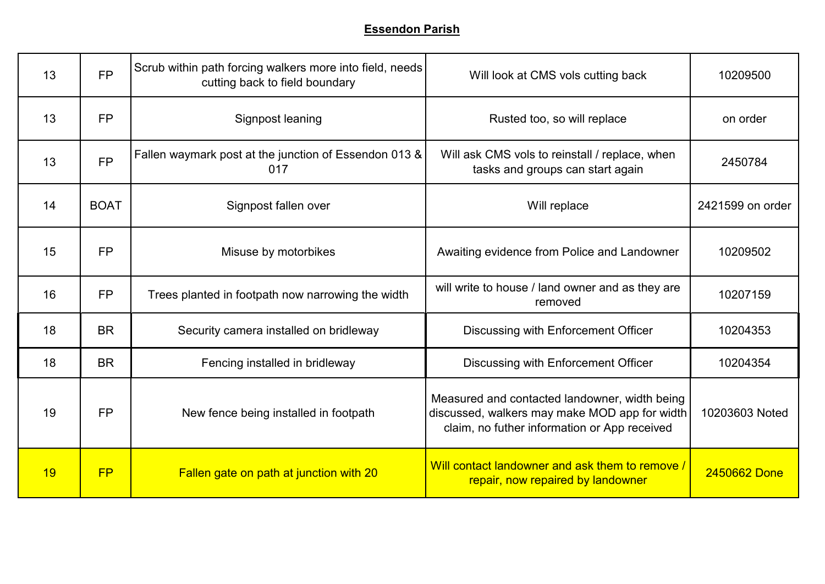| 13 | <b>FP</b>   | Scrub within path forcing walkers more into field, needs<br>cutting back to field boundary | Will look at CMS vols cutting back                                                                                                             | 10209500         |
|----|-------------|--------------------------------------------------------------------------------------------|------------------------------------------------------------------------------------------------------------------------------------------------|------------------|
| 13 | <b>FP</b>   | Signpost leaning                                                                           | Rusted too, so will replace                                                                                                                    | on order         |
| 13 | <b>FP</b>   | Fallen waymark post at the junction of Essendon 013 &<br>017                               | Will ask CMS vols to reinstall / replace, when<br>tasks and groups can start again                                                             | 2450784          |
| 14 | <b>BOAT</b> | Signpost fallen over                                                                       | Will replace                                                                                                                                   | 2421599 on order |
| 15 | <b>FP</b>   | Misuse by motorbikes                                                                       | Awaiting evidence from Police and Landowner                                                                                                    | 10209502         |
| 16 | <b>FP</b>   | Trees planted in footpath now narrowing the width                                          | will write to house / land owner and as they are<br>removed                                                                                    | 10207159         |
| 18 | <b>BR</b>   | Security camera installed on bridleway                                                     | Discussing with Enforcement Officer                                                                                                            | 10204353         |
| 18 | <b>BR</b>   | Fencing installed in bridleway                                                             | Discussing with Enforcement Officer                                                                                                            | 10204354         |
| 19 | <b>FP</b>   | New fence being installed in footpath                                                      | Measured and contacted landowner, width being<br>discussed, walkers may make MOD app for width<br>claim, no futher information or App received | 10203603 Noted   |
| 19 | FP          | Fallen gate on path at junction with 20                                                    | Will contact landowner and ask them to remove /<br>repair, now repaired by landowner                                                           | 2450662 Done     |